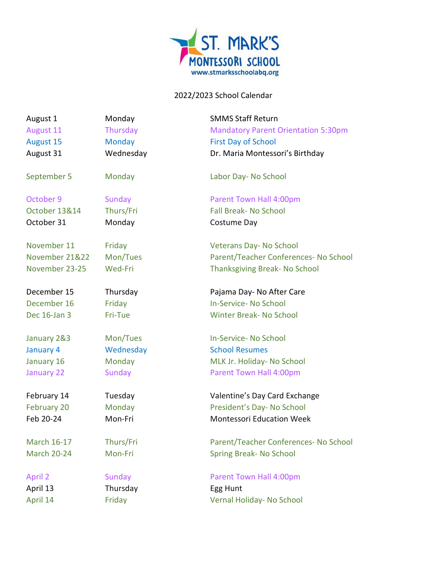

## 2022/2023 School Calendar

| August 1           | Monday        | <b>SMMS Staff Return</b>                   |
|--------------------|---------------|--------------------------------------------|
| August 11          | Thursday      | <b>Mandatory Parent Orientation 5:30pm</b> |
| August 15          | <b>Monday</b> | <b>First Day of School</b>                 |
| August 31          | Wednesday     | Dr. Maria Montessori's Birthday            |
| September 5        | Monday        | Labor Day- No School                       |
| October 9          | Sunday        | Parent Town Hall 4:00pm                    |
| October 13&14      | Thurs/Fri     | <b>Fall Break- No School</b>               |
| October 31         | Monday        | Costume Day                                |
| November 11        | Friday        | Veterans Day- No School                    |
| November 21&22     | Mon/Tues      | Parent/Teacher Conferences- No School      |
| November 23-25     | Wed-Fri       | Thanksgiving Break- No School              |
| December 15        | Thursday      | Pajama Day- No After Care                  |
| December 16        | Friday        | In-Service- No School                      |
| Dec 16-Jan 3       | Fri-Tue       | <b>Winter Break- No School</b>             |
| January 2&3        | Mon/Tues      | In-Service- No School                      |
| January 4          | Wednesday     | <b>School Resumes</b>                      |
| January 16         | Monday        | MLK Jr. Holiday- No School                 |
| January 22         | <b>Sunday</b> | Parent Town Hall 4:00pm                    |
| February 14        | Tuesday       | Valentine's Day Card Exchange              |
| February 20        | Monday        | President's Day- No School                 |
| Feb 20-24          | Mon-Fri       | <b>Montessori Education Week</b>           |
| <b>March 16-17</b> | Thurs/Fri     | Parent/Teacher Conferences- No School      |
| <b>March 20-24</b> | Mon-Fri       | Spring Break- No School                    |
| <b>April 2</b>     | <b>Sunday</b> | Parent Town Hall 4:00pm                    |
| April 13           | Thursday      | Egg Hunt                                   |
| April 14           | Friday        | Vernal Holiday- No School                  |
|                    |               |                                            |